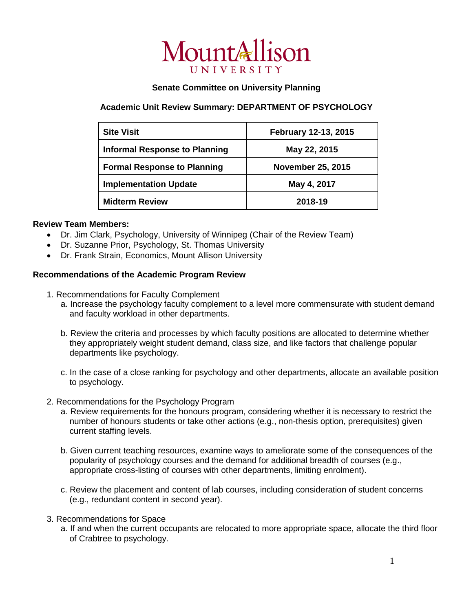

## **Senate Committee on University Planning**

## **Academic Unit Review Summary: DEPARTMENT OF PSYCHOLOGY**

| <b>Site Visit</b>                    | February 12-13, 2015     |
|--------------------------------------|--------------------------|
| <b>Informal Response to Planning</b> | May 22, 2015             |
| <b>Formal Response to Planning</b>   | <b>November 25, 2015</b> |
| <b>Implementation Update</b>         | May 4, 2017              |
| <b>Midterm Review</b>                | 2018-19                  |

## **Review Team Members:**

- Dr. Jim Clark, Psychology, University of Winnipeg (Chair of the Review Team)
- Dr. Suzanne Prior, Psychology, St. Thomas University
- Dr. Frank Strain, Economics, Mount Allison University

## **Recommendations of the Academic Program Review**

- 1. Recommendations for Faculty Complement
	- a. Increase the psychology faculty complement to a level more commensurate with student demand and faculty workload in other departments.
	- b. Review the criteria and processes by which faculty positions are allocated to determine whether they appropriately weight student demand, class size, and like factors that challenge popular departments like psychology.
	- c. In the case of a close ranking for psychology and other departments, allocate an available position to psychology.
- 2. Recommendations for the Psychology Program
	- a. Review requirements for the honours program, considering whether it is necessary to restrict the number of honours students or take other actions (e.g., non-thesis option, prerequisites) given current staffing levels.
	- b. Given current teaching resources, examine ways to ameliorate some of the consequences of the popularity of psychology courses and the demand for additional breadth of courses (e.g., appropriate cross-listing of courses with other departments, limiting enrolment).
	- c. Review the placement and content of lab courses, including consideration of student concerns (e.g., redundant content in second year).
- 3. Recommendations for Space
	- a. If and when the current occupants are relocated to more appropriate space, allocate the third floor of Crabtree to psychology.